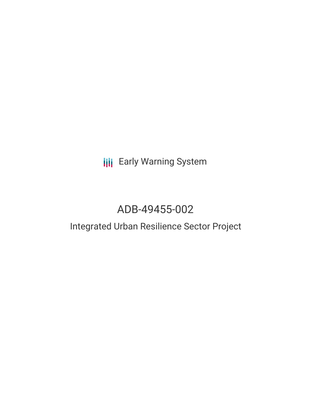# **III** Early Warning System

# ADB-49455-002

### Integrated Urban Resilience Sector Project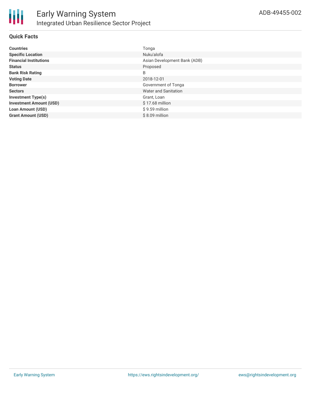### **Quick Facts**

| <b>Countries</b>               | Tonga                        |
|--------------------------------|------------------------------|
| <b>Specific Location</b>       | Nuku'alofa                   |
| <b>Financial Institutions</b>  | Asian Development Bank (ADB) |
| <b>Status</b>                  | Proposed                     |
| <b>Bank Risk Rating</b>        | B                            |
| <b>Voting Date</b>             | 2018-12-01                   |
| <b>Borrower</b>                | Government of Tonga          |
| <b>Sectors</b>                 | Water and Sanitation         |
| <b>Investment Type(s)</b>      | Grant, Loan                  |
| <b>Investment Amount (USD)</b> | $$17.68$ million             |
| <b>Loan Amount (USD)</b>       | $$9.59$ million              |
| <b>Grant Amount (USD)</b>      | $$8.09$ million              |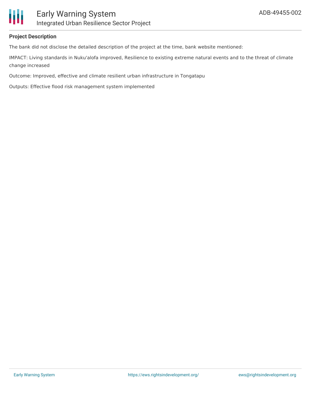

#### **Project Description**

The bank did not disclose the detailed description of the project at the time, bank website mentioned:

IMPACT: Living standards in Nuku'alofa improved, Resilience to existing extreme natural events and to the threat of climate change increased

Outcome: Improved, effective and climate resilient urban infrastructure in Tongatapu

Outputs: Effective flood risk management system implemented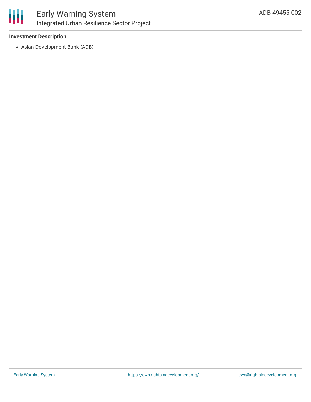

### **Investment Description**

Asian Development Bank (ADB)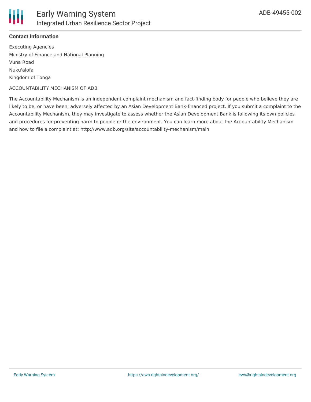

#### **Contact Information**

Executing Agencies Ministry of Finance and National Planning Vuna Road Nuku'alofa Kingdom of Tonga

#### ACCOUNTABILITY MECHANISM OF ADB

The Accountability Mechanism is an independent complaint mechanism and fact-finding body for people who believe they are likely to be, or have been, adversely affected by an Asian Development Bank-financed project. If you submit a complaint to the Accountability Mechanism, they may investigate to assess whether the Asian Development Bank is following its own policies and procedures for preventing harm to people or the environment. You can learn more about the Accountability Mechanism and how to file a complaint at: http://www.adb.org/site/accountability-mechanism/main